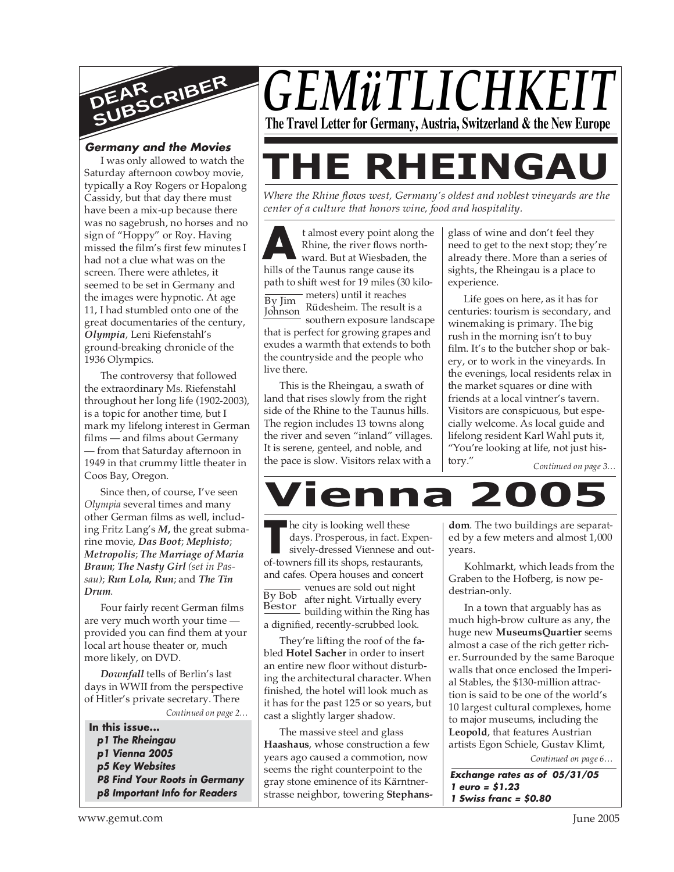

#### **Germany and the Movies**

I was only allowed to watch the Saturday afternoon cowboy movie, typically a Roy Rogers or Hopalong Cassidy, but that day there must have been a mix-up because there was no sagebrush, no horses and no sign of "Hoppy" or Roy. Having missed the film's first few minutes I had not a clue what was on the screen. There were athletes, it seemed to be set in Germany and the images were hypnotic. At age 11, I had stumbled onto one of the great documentaries of the century, *Olympia*, Leni Riefenstahl's ground-breaking chronicle of the 1936 Olympics.

The controversy that followed the extraordinary Ms. Riefenstahl throughout her long life (1902-2003), is a topic for another time, but I mark my lifelong interest in German films — and films about Germany — from that Saturday afternoon in 1949 in that crummy little theater in Coos Bay, Oregon.

Since then, of course, I've seen *Olympia* several times and many other German films as well, including Fritz Lang's *M***,** the great submarine movie, *Das Boot*; *Mephisto*; *Metropolis*; *The Marriage of Maria Braun*; *The Nasty Girl (set in Passau)*; *Run Lola, Run*; and *The Tin Drum*.

Four fairly recent German films are very much worth your time provided you can find them at your local art house theater or, much more likely, on DVD.

*Downfall* tells of Berlin's last days in WWII from the perspective of Hitler's private secretary. There

*Continued on page 2…*

**In this issue... p1 The Rheingau p1 Vienna 2005 p5 Key Websites P8 Find Your Roots in Germany p8 Important Info for Readers**



## *GEMüTLICHKEIT* **The Travel Letter for Germany, Austria, Switzerland & the New Europe**

# **THE RHEINGAU**

*Where the Rhine flows west, Germany's oldest and noblest vineyards are the center of a culture that honors wine, food and hospitality.*

**A** talmost every point along<br>Rhine, the river flows nor<br>ward. But at Wiesbaden,<br>hills of the Taunus range cause its t almost every point along the Rhine, the river flows northward. But at Wiesbaden, the path to shift west for 19 miles (30 kilo- $\frac{1}{\text{By Jim}}$  meters) until it reaches By Jim<br>Johnson, Rüdesheim. The result is a southern exposure landscape that is perfect for growing grapes and exudes a warmth that extends to both the countryside and the people who live there. Johnson

This is the Rheingau, a swath of land that rises slowly from the right side of the Rhine to the Taunus hills. The region includes 13 towns along the river and seven "inland" villages. It is serene, genteel, and noble, and the pace is slow. Visitors relax with a

glass of wine and don't feel they need to get to the next stop; they're already there. More than a series of sights, the Rheingau is a place to experience.

Life goes on here, as it has for centuries: tourism is secondary, and winemaking is primary. The big rush in the morning isn't to buy film. It's to the butcher shop or bakery, or to work in the vineyards. In the evenings, local residents relax in the market squares or dine with friends at a local vintner's tavern. Visitors are conspicuous, but especially welcome. As local guide and lifelong resident Karl Wahl puts it, "You're looking at life, not just history."

*Continued on page 3…*



**The city is looking well these days. Prosperous, in fact. Experience and of-towners fill its shops, restaurants,** <u>By Bob</u> venues are sold out night<br>By Bob after night Virtually ever Bestor and high. Virtually every he city is looking well these days. Prosperous, in fact. Expensively-dressed Viennese and outand cafes. Opera houses and concert after night. Virtually every a dignified, recently-scrubbed look.

They're lifting the roof of the fabled **Hotel Sacher** in order to insert an entire new floor without disturbing the architectural character. When finished, the hotel will look much as it has for the past 125 or so years, but cast a slightly larger shadow.

The massive steel and glass **Haashaus**, whose construction a few years ago caused a commotion, now seems the right counterpoint to the gray stone eminence of its Kärntnerstrasse neighbor, towering **Stephans-**

**dom**. The two buildings are separated by a few meters and almost 1,000 years.

Kohlmarkt, which leads from the Graben to the Hofberg, is now pedestrian-only.

In a town that arguably has as much high-brow culture as any, the huge new **MuseumsQuartier** seems almost a case of the rich getter richer. Surrounded by the same Baroque walls that once enclosed the Imperial Stables, the \$130-million attraction is said to be one of the world's 10 largest cultural complexes, home to major museums, including the **Leopold**, that features Austrian artists Egon Schiele, Gustav Klimt,

*Continued on page 6…*

**Exchange rates as of 05/31/05 1 euro = \$1.23 1 Swiss franc = \$0.80**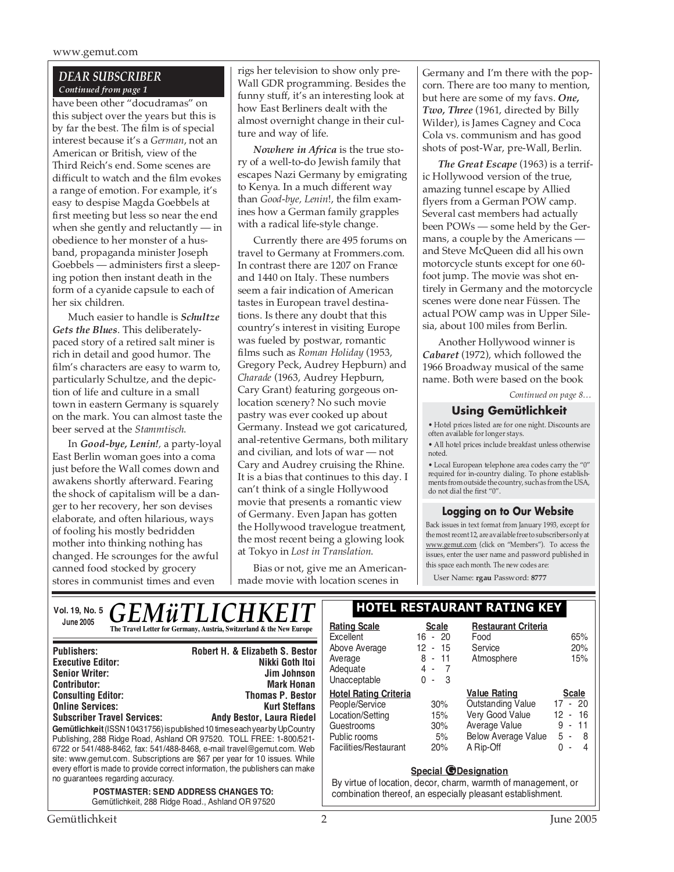#### *DEAR SUBSCRIBER Continued from page 1*

have been other "docudramas" on this subject over the years but this is by far the best. The film is of special interest because it's a *German*, not an American or British, view of the Third Reich's end. Some scenes are difficult to watch and the film evokes a range of emotion. For example, it's easy to despise Magda Goebbels at first meeting but less so near the end when she gently and reluctantly — in obedience to her monster of a husband, propaganda minister Joseph Goebbels — administers first a sleeping potion then instant death in the form of a cyanide capsule to each of her six children.

Much easier to handle is *Schultze Gets the Blues*. This deliberatelypaced story of a retired salt miner is rich in detail and good humor. The film's characters are easy to warm to, particularly Schultze, and the depiction of life and culture in a small town in eastern Germany is squarely on the mark. You can almost taste the beer served at the *Stammtisch*.

In *Good-bye, Lenin!,* a party-loyal East Berlin woman goes into a coma just before the Wall comes down and awakens shortly afterward. Fearing the shock of capitalism will be a danger to her recovery, her son devises elaborate, and often hilarious, ways of fooling his mostly bedridden mother into thinking nothing has changed. He scrounges for the awful canned food stocked by grocery stores in communist times and even

rigs her television to show only pre-Wall GDR programming. Besides the funny stuff, it's an interesting look at how East Berliners dealt with the almost overnight change in their culture and way of life.

*Nowhere in Africa* is the true story of a well-to-do Jewish family that escapes Nazi Germany by emigrating to Kenya. In a much different way than *Good-bye, Lenin*!, the film examines how a German family grapples with a radical life-style change.

Currently there are 495 forums on travel to Germany at Frommers.com. In contrast there are 1207 on France and 1440 on Italy. These numbers seem a fair indication of American tastes in European travel destinations. Is there any doubt that this country's interest in visiting Europe was fueled by postwar, romantic films such as *Roman Holiday* (1953, Gregory Peck, Audrey Hepburn) and *Charade* (1963, Audrey Hepburn, Cary Grant) featuring gorgeous onlocation scenery? No such movie pastry was ever cooked up about Germany. Instead we got caricatured, anal-retentive Germans, both military and civilian, and lots of war — not Cary and Audrey cruising the Rhine. It is a bias that continues to this day. I can't think of a single Hollywood movie that presents a romantic view of Germany. Even Japan has gotten the Hollywood travelogue treatment, the most recent being a glowing look at Tokyo in *Lost in Translation*.

Bias or not, give me an Americanmade movie with location scenes in

Germany and I'm there with the popcorn. There are too many to mention, but here are some of my favs. *One, Two, Three* (1961, directed by Billy Wilder), is James Cagney and Coca Cola vs. communism and has good shots of post-War, pre-Wall, Berlin.

*The Great Escape* (1963) is a terrific Hollywood version of the true, amazing tunnel escape by Allied flyers from a German POW camp. Several cast members had actually been POWs — some held by the Germans, a couple by the Americans and Steve McQueen did all his own motorcycle stunts except for one 60 foot jump. The movie was shot entirely in Germany and the motorcycle scenes were done near Füssen. The actual POW camp was in Upper Silesia, about 100 miles from Berlin.

Another Hollywood winner is *Cabaret* (1972), which followed the 1966 Broadway musical of the same name. Both were based on the book

*Continued on page 8…*

#### **Using Gemütlichkeit**

• Hotel prices listed are for one night. Discounts are often available for longer stays.

• All hotel prices include breakfast unless otherwise noted.

• Local European telephone area codes carry the "0" required for in-country dialing. To phone establishments from outside the country, such as from the USA, do not dial the first "0".

#### **Logging on to Our Website**

Back issues in text format from January 1993, except for the most recent 12, are available free to subscribers only at www.gemut.com (click on "Members"). To access the issues, enter the user name and password published in this space each month. The new codes are:

**Restaurant Criteria**

Food 65%<br>Service 20% Service 20%<br>Atmosphere 15%

**Value Rating Scale** Outstanding Value 17 - 20 Very Good Value 12 - 16 Average Value 9 - 11<br>Below Average Value 5 - 8 Below Average Value

A Rip-Off 0 - 4

User Name: **rgau** Password: **8777**

Atmosphere

| <i><b>GEMÜTLICHKEIT</b></i><br>Vol. 19, No. 5                                                                                                                                                                        |                                                                                                                                                                                                                                                                                                                                                                                         | I HOTEL RESTAURANT RAT                                                                                                         |                                         |                                                                                                |
|----------------------------------------------------------------------------------------------------------------------------------------------------------------------------------------------------------------------|-----------------------------------------------------------------------------------------------------------------------------------------------------------------------------------------------------------------------------------------------------------------------------------------------------------------------------------------------------------------------------------------|--------------------------------------------------------------------------------------------------------------------------------|-----------------------------------------|------------------------------------------------------------------------------------------------|
| June 2005                                                                                                                                                                                                            | The Travel Letter for Germany, Austria, Switzerland & the New Europe                                                                                                                                                                                                                                                                                                                    | <b>Rating Scale</b><br>Excellent                                                                                               | <b>Scale</b><br>$16 - 20$               | Restaura<br>Food                                                                               |
| <b>Publishers:</b><br><b>Executive Editor:</b><br><b>Senior Writer:</b><br><b>Contributor:</b>                                                                                                                       | <b>Robert H. &amp; Elizabeth S. Bestor</b><br>Nikki Goth Itoi<br>Jim Johnson<br><b>Mark Honan</b>                                                                                                                                                                                                                                                                                       | Above Average<br>Average<br>Adequate<br>Unacceptable                                                                           | 12 - 15<br>$8 - 11$<br>4 - 7<br>$0 - 3$ | Service<br>Atmosphe                                                                            |
| <b>Consulting Editor:</b><br><b>Online Services:</b><br><b>Subscriber Travel Services:</b>                                                                                                                           | <b>Thomas P. Bestor</b><br><b>Kurt Steffans</b><br>Andy Bestor, Laura Riedel<br>Gemütlichkeit (ISSN 10431756) is published 10 times each year by UpCountry<br>Publishing, 288 Ridge Road, Ashland OR 97520. TOLL FREE: 1-800/521-<br>6722 or 541/488-8462, fax: 541/488-8468, e-mail travel@gemut.com. Web<br>site: www.gemut.com. Subscriptions are \$67 per year for 10 issues. While | <b>Hotel Rating Criteria</b><br>People/Service<br>Location/Setting<br>Guestrooms<br>Public rooms<br>Facilities/Restaurant      | 30%<br>15%<br>30%<br>5%<br>20%          | <b>Value Ratir</b><br>Outstanding<br>Very Good<br>Average Va<br><b>Below Aver</b><br>A Rip-Off |
| every effort is made to provide correct information, the publishers can make<br>no quarantees regarding accuracy.<br><b>POSTMASTER: SEND ADDRESS CHANGES TO:</b><br>Gemütlichkeit, 288 Ridge Road., Ashland OR 97520 |                                                                                                                                                                                                                                                                                                                                                                                         | <b>Special @Designation</b><br>By virtue of location, decor, charm, warmth of<br>combination thereof, an especially pleasant e |                                         |                                                                                                |

#### **RANT RATING KEY**

harm, warmth of management, or cially pleasant establishment.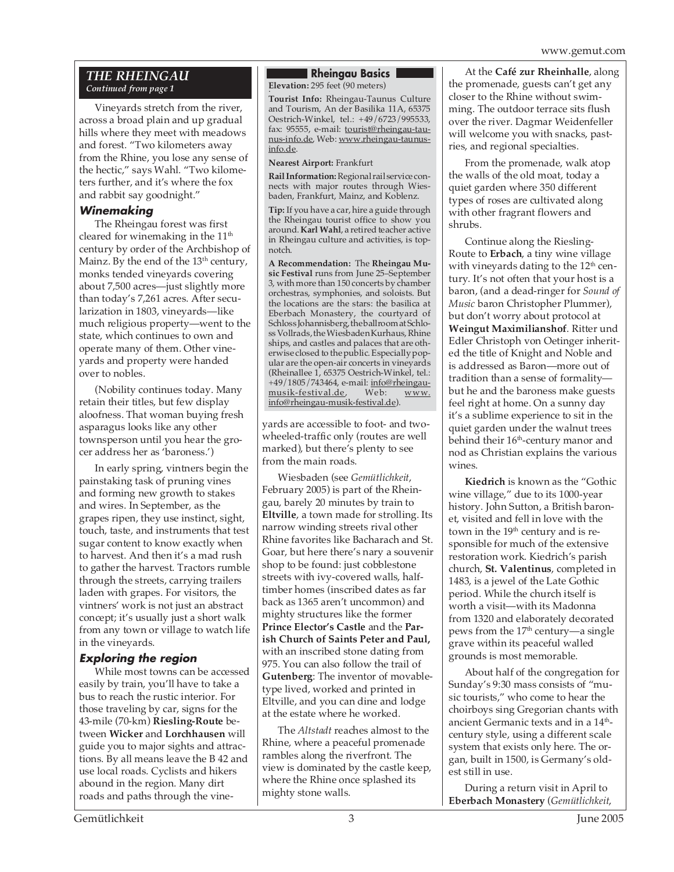#### *THE RHEINGAU Continued from page 1*

Vineyards stretch from the river, across a broad plain and up gradual hills where they meet with meadows and forest. "Two kilometers away from the Rhine, you lose any sense of the hectic," says Wahl. "Two kilometers further, and it's where the fox and rabbit say goodnight."

#### **Winemaking**

The Rheingau forest was first cleared for winemaking in the 11<sup>th</sup> century by order of the Archbishop of Mainz. By the end of the  $13<sup>th</sup>$  century, monks tended vineyards covering about 7,500 acres—just slightly more than today's 7,261 acres. After secularization in 1803, vineyards—like much religious property—went to the state, which continues to own and operate many of them. Other vineyards and property were handed over to nobles.

(Nobility continues today. Many retain their titles, but few display aloofness. That woman buying fresh asparagus looks like any other townsperson until you hear the grocer address her as 'baroness.')

In early spring, vintners begin the painstaking task of pruning vines and forming new growth to stakes and wires. In September, as the grapes ripen, they use instinct, sight, touch, taste, and instruments that test sugar content to know exactly when to harvest. And then it's a mad rush to gather the harvest. Tractors rumble through the streets, carrying trailers laden with grapes. For visitors, the vintners' work is not just an abstract concept; it's usually just a short walk from any town or village to watch life in the vineyards.

#### **Exploring the region**

While most towns can be accessed easily by train, you'll have to take a bus to reach the rustic interior. For those traveling by car, signs for the 43-mile (70-km) **Riesling-Route** between **Wicker** and **Lorchhausen** will guide you to major sights and attractions. By all means leave the B 42 and use local roads. Cyclists and hikers abound in the region. Many dirt roads and paths through the vine-

#### **Rheingau Basics** . **Elevation:** 295 feet (90 meters)

**Tourist Info:** Rheingau-Taunus Culture and Tourism, An der Basilika 11A, 65375 Oestrich-Winkel, tel.: +49/6723/995533, fax: 95555, e-mail: tourist@rheingau-taunus-info.de, Web: www.rheingau-taunusinfo.de.

**Nearest Airport:** Frankfurt

**Rail Information:**Regional rail service connects with major routes through Wiesbaden, Frankfurt, Mainz, and Koblenz.

**Tip:** If you have a car, hire a guide through the Rheingau tourist office to show you around. **Karl Wahl**, a retired teacher active in Rheingau culture and activities, is topnotch.

**A Recommendation:** The **Rheingau Music Festival** runs from June 25–September 3, with more than 150 concerts by chamber orchestras, symphonies, and soloists. But the locations are the stars: the basilica at Eberbach Monastery, the courtyard of Schloss Johannisberg, the ballroom at Schloss Vollrads, the Wiesbaden Kurhaus, Rhine ships, and castles and palaces that are otherwise closed to the public. Especially popular are the open-air concerts in vineyards (Rheinallee 1, 65375 Oestrich-Winkel, tel.: +49/1805/743464, e-mail: <u>info@rheingau-</u><br>musik-festival.de, Web: www. musik-festival.de, Web: www. info@rheingau-musik-festival.de).

yards are accessible to foot- and twowheeled-traffic only (routes are well marked), but there's plenty to see from the main roads.

Wiesbaden (see *Gemütlichkeit*, February 2005) is part of the Rheingau, barely 20 minutes by train to **Eltville**, a town made for strolling. Its narrow winding streets rival other Rhine favorites like Bacharach and St. Goar, but here there's nary a souvenir shop to be found: just cobblestone streets with ivy-covered walls, halftimber homes (inscribed dates as far back as 1365 aren't uncommon) and mighty structures like the former **Prince Elector's Castle** and the **Parish Church of Saints Peter and Paul,** with an inscribed stone dating from 975. You can also follow the trail of **Gutenberg**: The inventor of movabletype lived, worked and printed in Eltville, and you can dine and lodge at the estate where he worked.

The *Altstadt* reaches almost to the Rhine, where a peaceful promenade rambles along the riverfront. The view is dominated by the castle keep, where the Rhine once splashed its mighty stone walls.

At the **Café zur Rheinhalle**, along the promenade, guests can't get any closer to the Rhine without swimming. The outdoor terrace sits flush over the river. Dagmar Weidenfeller will welcome you with snacks, pastries, and regional specialties.

From the promenade, walk atop the walls of the old moat, today a quiet garden where 350 different types of roses are cultivated along with other fragrant flowers and shrubs.

Continue along the Riesling-Route to **Erbach**, a tiny wine village with vineyards dating to the 12<sup>th</sup> century. It's not often that your host is a baron, (and a dead-ringer for *Sound of Music* baron Christopher Plummer), but don't worry about protocol at **Weingut Maximilianshof**. Ritter und Edler Christoph von Oetinger inherited the title of Knight and Noble and is addressed as Baron—more out of tradition than a sense of formality but he and the baroness make guests feel right at home. On a sunny day it's a sublime experience to sit in the quiet garden under the walnut trees behind their 16<sup>th</sup>-century manor and nod as Christian explains the various wines.

**Kiedrich** is known as the "Gothic wine village," due to its 1000-year history. John Sutton, a British baronet, visited and fell in love with the town in the  $19<sup>th</sup>$  century and is responsible for much of the extensive restoration work. Kiedrich's parish church, **St. Valentinus**, completed in 1483, is a jewel of the Late Gothic period. While the church itself is worth a visit—with its Madonna from 1320 and elaborately decorated pews from the  $17<sup>th</sup>$  century—a single grave within its peaceful walled grounds is most memorable.

About half of the congregation for Sunday's 9:30 mass consists of "music tourists," who come to hear the choirboys sing Gregorian chants with ancient Germanic texts and in a 14<sup>th</sup>century style, using a different scale system that exists only here. The organ, built in 1500, is Germany's oldest still in use.

During a return visit in April to **Eberbach Monastery** (*Gemütlichkeit*,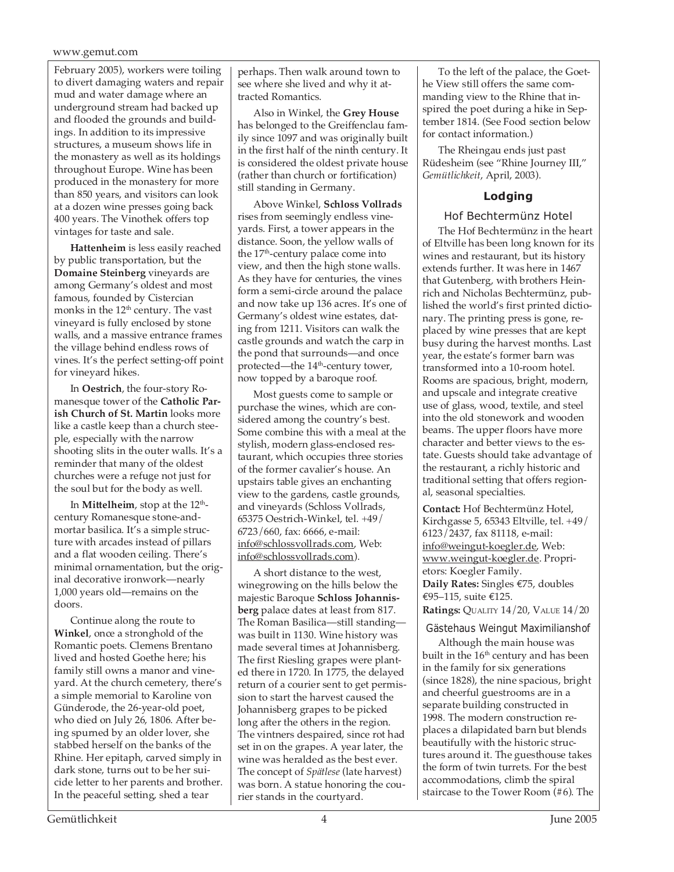February 2005), workers were toiling to divert damaging waters and repair mud and water damage where an underground stream had backed up and flooded the grounds and buildings. In addition to its impressive structures, a museum shows life in the monastery as well as its holdings throughout Europe. Wine has been produced in the monastery for more than 850 years, and visitors can look at a dozen wine presses going back 400 years. The Vinothek offers top vintages for taste and sale.

**Hattenheim** is less easily reached by public transportation, but the **Domaine Steinberg** vineyards are among Germany's oldest and most famous, founded by Cistercian monks in the 12<sup>th</sup> century. The vast vineyard is fully enclosed by stone walls, and a massive entrance frames the village behind endless rows of vines. It's the perfect setting-off point for vineyard hikes.

In **Oestrich**, the four-story Romanesque tower of the **Catholic Parish Church of St. Martin** looks more like a castle keep than a church steeple, especially with the narrow shooting slits in the outer walls. It's a reminder that many of the oldest churches were a refuge not just for the soul but for the body as well.

In **Mittelheim**, stop at the 12<sup>th</sup>century Romanesque stone-andmortar basilica. It's a simple structure with arcades instead of pillars and a flat wooden ceiling. There's minimal ornamentation, but the original decorative ironwork—nearly 1,000 years old—remains on the doors.

Continue along the route to **Winkel**, once a stronghold of the Romantic poets. Clemens Brentano lived and hosted Goethe here; his family still owns a manor and vineyard. At the church cemetery, there's a simple memorial to Karoline von Günderode, the 26-year-old poet, who died on July 26, 1806. After being spurned by an older lover, she stabbed herself on the banks of the Rhine. Her epitaph, carved simply in dark stone, turns out to be her suicide letter to her parents and brother. In the peaceful setting, shed a tear

perhaps. Then walk around town to see where she lived and why it attracted Romantics.

Also in Winkel, the **Grey House** has belonged to the Greiffenclau family since 1097 and was originally built in the first half of the ninth century. It is considered the oldest private house (rather than church or fortification) still standing in Germany.

Above Winkel, **Schloss Vollrads** rises from seemingly endless vineyards. First, a tower appears in the distance. Soon, the yellow walls of the 17<sup>th</sup>-century palace come into view, and then the high stone walls. As they have for centuries, the vines form a semi-circle around the palace and now take up 136 acres. It's one of Germany's oldest wine estates, dating from 1211. Visitors can walk the castle grounds and watch the carp in the pond that surrounds—and once protected—the 14<sup>th</sup>-century tower, now topped by a baroque roof.

Most guests come to sample or purchase the wines, which are considered among the country's best. Some combine this with a meal at the stylish, modern glass-enclosed restaurant, which occupies three stories of the former cavalier's house. An upstairs table gives an enchanting view to the gardens, castle grounds, and vineyards (Schloss Vollrads, 65375 Oestrich-Winkel, tel. +49/ 6723/660, fax: 6666, e-mail: info@schlossvollrads.com, Web: info@schlossvollrads.com).

A short distance to the west, winegrowing on the hills below the majestic Baroque **Schloss Johannisberg** palace dates at least from 817. The Roman Basilica—still standing was built in 1130. Wine history was made several times at Johannisberg. The first Riesling grapes were planted there in 1720. In 1775, the delayed return of a courier sent to get permission to start the harvest caused the Johannisberg grapes to be picked long after the others in the region. The vintners despaired, since rot had set in on the grapes. A year later, the wine was heralded as the best ever. The concept of *Spätlese* (late harvest) was born. A statue honoring the courier stands in the courtyard.

To the left of the palace, the Goethe View still offers the same commanding view to the Rhine that inspired the poet during a hike in September 1814. (See Food section below for contact information.)

The Rheingau ends just past Rüdesheim (see "Rhine Journey III," *Gemütlichkeit*, April, 2003).

#### **Lodging**

#### Hof Bechtermünz Hotel

The Hof Bechtermünz in the heart of Eltville has been long known for its wines and restaurant, but its history extends further. It was here in 1467 that Gutenberg, with brothers Heinrich and Nicholas Bechtermünz, published the world's first printed dictionary. The printing press is gone, replaced by wine presses that are kept busy during the harvest months. Last year, the estate's former barn was transformed into a 10-room hotel. Rooms are spacious, bright, modern, and upscale and integrate creative use of glass, wood, textile, and steel into the old stonework and wooden beams. The upper floors have more character and better views to the estate. Guests should take advantage of the restaurant, a richly historic and traditional setting that offers regional, seasonal specialties.

**Contact:** Hof Bechtermünz Hotel, Kirchgasse 5, 65343 Eltville, tel. +49/ 6123/2437, fax 81118, e-mail: info@weingut-koegler.de, Web: www.weingut-koegler.de. Proprietors: Koegler Family. **Daily Rates:** Singles €75, doubles €95–115, suite €125. **Ratings:** QUALITY 14/20, VALUE 14/20

#### Gästehaus Weingut Maximilianshof

Although the main house was built in the  $16<sup>th</sup>$  century and has been in the family for six generations (since 1828), the nine spacious, bright and cheerful guestrooms are in a separate building constructed in 1998. The modern construction replaces a dilapidated barn but blends beautifully with the historic structures around it. The guesthouse takes the form of twin turrets. For the best accommodations, climb the spiral staircase to the Tower Room (#6). The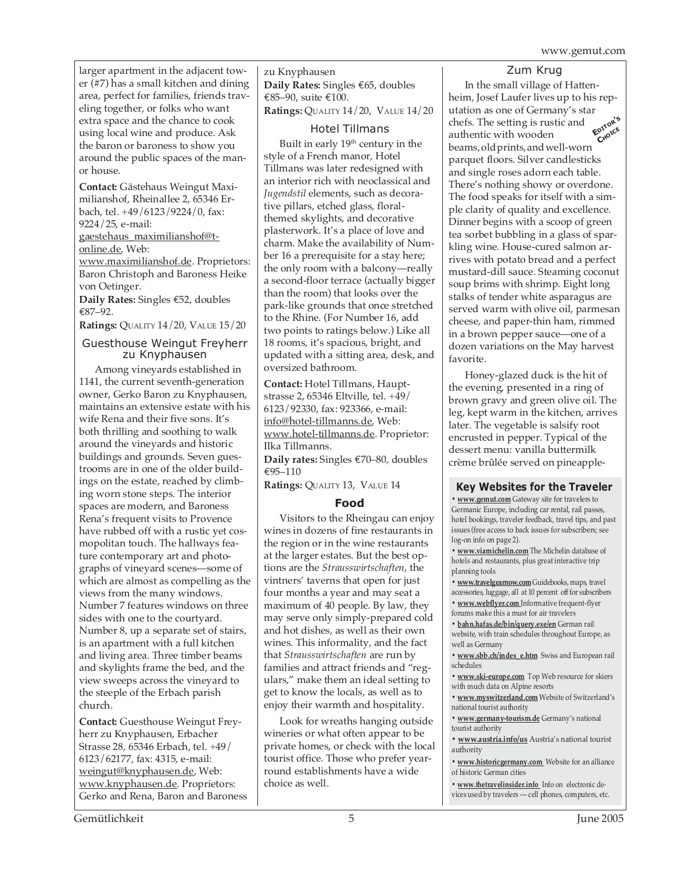larger apartment in the adjacent tower (#7) has a small kitchen and dining area, perfect for families, friends traveling together, or folks who want extra space and the chance to cook using local wine and produce. Ask the baron or baroness to show you around the public spaces of the manor house.

**Contact:** Gästehaus Weingut Maximilianshof, Rheinallee 2, 65346 Erbach, tel. +49/6123/9224/0, fax: 9224/25, e-mail:

gaestehaus\_maximilianshof@tonline.de, Web:

www.maximilianshof.de. Proprietors: Baron Christoph and Baroness Heike von Oetinger.

**Daily Rates:** Singles €52, doubles €87–92.

**Ratings:** QUALITY 14/20, VALUE 15/20

#### Guesthouse Weingut Freyherr zu Knyphausen

Among vineyards established in 1141, the current seventh-generation owner, Gerko Baron zu Knyphausen, maintains an extensive estate with his wife Rena and their five sons. It's both thrilling and soothing to walk around the vineyards and historic buildings and grounds. Seven guestrooms are in one of the older buildings on the estate, reached by climbing worn stone steps. The interior spaces are modern, and Baroness Rena's frequent visits to Provence have rubbed off with a rustic yet cosmopolitan touch. The hallways feature contemporary art and photographs of vineyard scenes—some of which are almost as compelling as the views from the many windows. Number 7 features windows on three sides with one to the courtyard. Number 8, up a separate set of stairs, is an apartment with a full kitchen and living area. Three timber beams and skylights frame the bed, and the view sweeps across the vineyard to the steeple of the Erbach parish church.

**Contact:** Guesthouse Weingut Freyherr zu Knyphausen, Erbacher Strasse 28, 65346 Erbach, tel. +49/ 6123/62177, fax: 4315, e-mail: weingut@knyphausen.de, Web: www.knyphausen.de. Proprietors: Gerko and Rena, Baron and Baroness zu Knyphausen **Daily Rates:** Singles €65, doubles €85–90, suite €100. **Ratings:** QUALITY 14/20, VALUE 14/20

#### Hotel Tillmans

Built in early 19<sup>th</sup> century in the style of a French manor, Hotel Tillmans was later redesigned with an interior rich with neoclassical and *Jugendstil* elements, such as decorative pillars, etched glass, floralthemed skylights, and decorative plasterwork. It's a place of love and charm. Make the availability of Number 16 a prerequisite for a stay here; the only room with a balcony—really a second-floor terrace (actually bigger than the room) that looks over the park-like grounds that once stretched to the Rhine. (For Number 16, add two points to ratings below.) Like all 18 rooms, it's spacious, bright, and updated with a sitting area, desk, and oversized bathroom.

**Contact:** Hotel Tillmans, Hauptstrasse 2, 65346 Eltville, tel. +49/ 6123/92330, fax: 923366, e-mail: info@hotel-tillmanns.de, Web: www.hotel-tillmanns.de. Proprietor: Ilka Tillmanns.

**Daily rates:** Singles €70–80, doubles €95–110

**Ratings:** QUALITY 13, VALUE 14

#### **Food**

Visitors to the Rheingau can enjoy wines in dozens of fine restaurants in the region or in the wine restaurants at the larger estates. But the best options are the *Strausswirtschaften*, the vintners' taverns that open for just four months a year and may seat a maximum of 40 people. By law, they may serve only simply-prepared cold and hot dishes, as well as their own wines. This informality, and the fact that *Strausswirtschaften* are run by families and attract friends and "regulars," make them an ideal setting to get to know the locals, as well as to enjoy their warmth and hospitality.

Look for wreaths hanging outside wineries or what often appear to be private homes, or check with the local tourist office. Those who prefer yearround establishments have a wide choice as well.

#### Zum Krug

In the small village of Hattenheim, Josef Laufer lives up to his reputation as one of Germany's star chefs. The setting is rustic and authentic with wooden beams, old prints, and well-worn parquet floors. Silver candlesticks and single roses adorn each table. There's nothing showy or overdone. The food speaks for itself with a simple clarity of quality and excellence. Dinner begins with a scoop of green tea sorbet bubbling in a glass of sparkling wine. House-cured salmon arrives with potato bread and a perfect mustard-dill sauce. Steaming coconut soup brims with shrimp. Eight long stalks of tender white asparagus are served warm with olive oil, parmesan cheese, and paper-thin ham, rimmed in a brown pepper sauce—one of a dozen variations on the May harvest favorite. **EDITOR'<sup>S</sup> CHOICE**

Honey-glazed duck is the hit of the evening, presented in a ring of brown gravy and green olive oil. The leg, kept warm in the kitchen, arrives later. The vegetable is salsify root encrusted in pepper. Typical of the dessert menu: vanilla buttermilk crème brûlée served on pineapple-

#### **Key Websites for the Traveler**

**• www.gemut.com** Gateway site for travelers to Germanic Europe, including car rental, rail passes, hotel bookings, traveler feedback, travel tips, and past issues (free access to back issues for subscribers; see log-on info on page 2).

**• www.viamichelin.com** The Michelin database of hotels and restaurants, plus great interactive trip planning tools

**• www.travelgearnow.com** Guidebooks, maps, travel accessories, luggage, all at 10 percent off for subscribers

**• www.webflyer.com** Informative frequent-flyer

forums make this a must for air travelers **• bahn.hafas.de/bin/query.exe/en** German rail

website, with train schedules throughout Europe, as well as Germany

**• www.sbb.ch/index\_e.htm** Swiss and European rail schedules

**• www.ski-europe.com** Top Web resource for skiers with much data on Alpine resorts

**• www.myswitzerland.com** Website of Switzerland's national tourist authority

**• www.germany-tourism.de** Germany's national tourist authority

**• www.austria.info/us** Austria's national tourist authority

**• www.historicgermany.com** Website for an alliance of historic German cities

**• www.thetravelinsider.info** Info on electronic devices used by travelers — cell phones, computers, etc.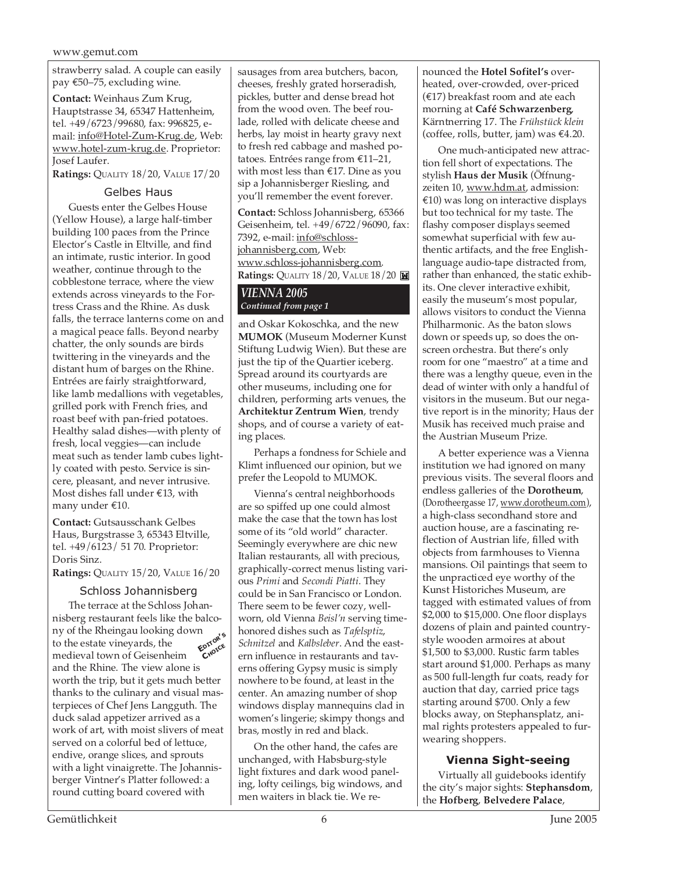strawberry salad. A couple can easily pay €50–75, excluding wine.

**Contact:** Weinhaus Zum Krug, Hauptstrasse 34, 65347 Hattenheim, tel. +49/6723/99680, fax: 996825, email: info@Hotel-Zum-Krug.de, Web: www.hotel-zum-krug.de. Proprietor: Josef Laufer.

**Ratings:** QUALITY 18/20, VALUE 17/20

#### Gelbes Haus

Guests enter the Gelbes House (Yellow House), a large half-timber building 100 paces from the Prince Elector's Castle in Eltville, and find an intimate, rustic interior. In good weather, continue through to the cobblestone terrace, where the view extends across vineyards to the Fortress Crass and the Rhine. As dusk falls, the terrace lanterns come on and a magical peace falls. Beyond nearby chatter, the only sounds are birds twittering in the vineyards and the distant hum of barges on the Rhine. Entrées are fairly straightforward, like lamb medallions with vegetables, grilled pork with French fries, and roast beef with pan-fried potatoes. Healthy salad dishes—with plenty of fresh, local veggies—can include meat such as tender lamb cubes lightly coated with pesto. Service is sincere, pleasant, and never intrusive. Most dishes fall under €13, with many under €10.

**Contact:** Gutsausschank Gelbes Haus, Burgstrasse 3, 65343 Eltville, tel. +49/6123/ 51 70. Proprietor: Doris Sinz.

**Ratings:** QUALITY 15/20, VALUE 16/20

#### Schloss Johannisberg

The terrace at the Schloss Johannisberg restaurant feels like the balcony of the Rheingau looking down to the estate vineyards, the medieval town of Geisenheim and the Rhine. The view alone is worth the trip, but it gets much better thanks to the culinary and visual masterpieces of Chef Jens Langguth. The duck salad appetizer arrived as a work of art, with moist slivers of meat served on a colorful bed of lettuce, endive, orange slices, and sprouts with a light vinaigrette. The Johannisberger Vintner's Platter followed: a round cutting board covered with **EDITOR'<sup>S</sup> CHOICE**

sausages from area butchers, bacon, cheeses, freshly grated horseradish, pickles, butter and dense bread hot from the wood oven. The beef roulade, rolled with delicate cheese and herbs, lay moist in hearty gravy next to fresh red cabbage and mashed potatoes. Entrées range from €11–21, with most less than €17. Dine as you sip a Johannisberger Riesling, and you'll remember the event forever.

**Contact:** Schloss Johannisberg, 65366 Geisenheim, tel. +49/6722/96090, fax: 7392, e-mail: info@schlossjohannisberg.com, Web: www.schloss-johannisberg.com. **Ratings:** QUALITY 18/20, VALUE 18/20

#### *VIENNA 2005 Continued from page 1*

and Oskar Kokoschka, and the new **MUMOK** (Museum Moderner Kunst Stiftung Ludwig Wien). But these are just the tip of the Quartier iceberg. Spread around its courtyards are other museums, including one for children, performing arts venues, the **Architektur Zentrum Wien**, trendy shops, and of course a variety of eating places.

Perhaps a fondness for Schiele and Klimt influenced our opinion, but we prefer the Leopold to MUMOK.

Vienna's central neighborhoods are so spiffed up one could almost make the case that the town has lost some of its "old world" character. Seemingly everywhere are chic new Italian restaurants, all with precious, graphically-correct menus listing various *Primi* and *Secondi Piatti*. They could be in San Francisco or London. There seem to be fewer cozy, wellworn, old Vienna *Beisl'n* serving timehonored dishes such as *Tafelsptiz*, *Schnitzel* and *Kalbsleber*. And the eastern influence in restaurants and taverns offering Gypsy music is simply nowhere to be found, at least in the center. An amazing number of shop windows display mannequins clad in women's lingerie; skimpy thongs and bras, mostly in red and black.

On the other hand, the cafes are unchanged, with Habsburg-style light fixtures and dark wood paneling, lofty ceilings, big windows, and men waiters in black tie. We renounced the **Hotel Sofitel's** overheated, over-crowded, over-priced (€17) breakfast room and ate each morning at **Café Schwarzenberg**, Kärntnerring 17. The *Frühstück klein* (coffee, rolls, butter, jam) was  $€4.20$ .

One much-anticipated new attraction fell short of expectations. The stylish **Haus der Musik** (Öffnungzeiten 10, www.hdm.at, admission: €10) was long on interactive displays but too technical for my taste. The flashy composer displays seemed somewhat superficial with few authentic artifacts, and the free Englishlanguage audio-tape distracted from, rather than enhanced, the static exhibits. One clever interactive exhibit, easily the museum's most popular, allows visitors to conduct the Vienna Philharmonic. As the baton slows down or speeds up, so does the onscreen orchestra. But there's only room for one "maestro" at a time and there was a lengthy queue, even in the dead of winter with only a handful of visitors in the museum. But our negative report is in the minority; Haus der Musik has received much praise and the Austrian Museum Prize.

A better experience was a Vienna institution we had ignored on many previous visits. The several floors and endless galleries of the **Dorotheum**, (Dorotheergasse 17, www.dorotheum.com), a high-class secondhand store and auction house, are a fascinating reflection of Austrian life, filled with objects from farmhouses to Vienna mansions. Oil paintings that seem to the unpracticed eye worthy of the Kunst Historiches Museum, are tagged with estimated values of from \$2,000 to \$15,000. One floor displays dozens of plain and painted countrystyle wooden armoires at about \$1,500 to \$3,000. Rustic farm tables start around \$1,000. Perhaps as many as 500 full-length fur coats, ready for auction that day, carried price tags starting around \$700. Only a few blocks away, on Stephansplatz, animal rights protesters appealed to furwearing shoppers.

#### **Vienna Sight-seeing**

Virtually all guidebooks identify the city's major sights: **Stephansdom**, the **Hofberg**, **Belvedere Palace**,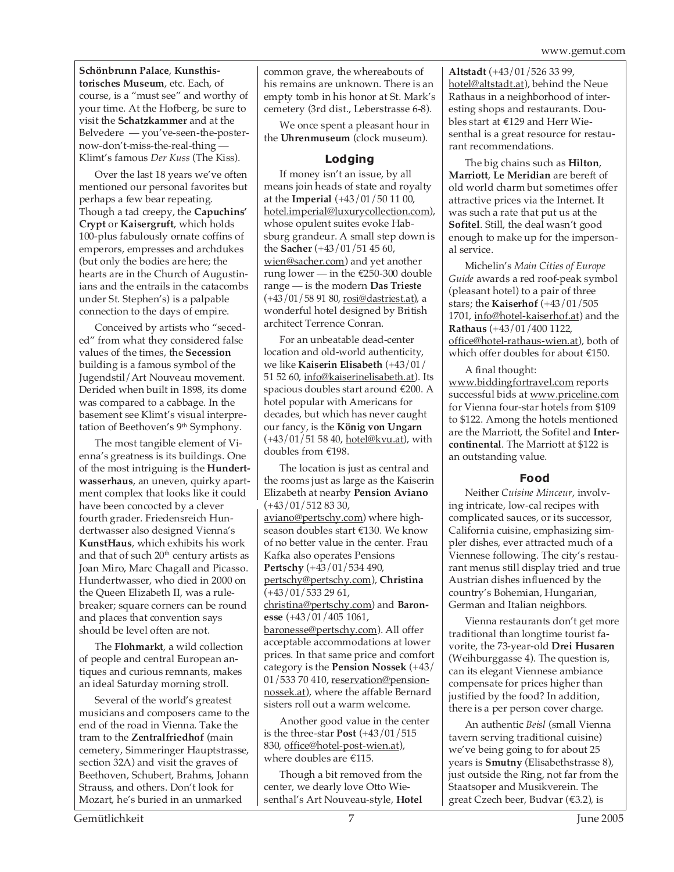**Schönbrunn Palace**, **Kunsthistorisches Museum**, etc. Each, of course, is a "must see" and worthy of your time. At the Hofberg, be sure to visit the **Schatzkammer** and at the Belvedere — you've-seen-the-posternow-don't-miss-the-real-thing — Klimt's famous *Der Kuss* (The Kiss).

Over the last 18 years we've often mentioned our personal favorites but perhaps a few bear repeating. Though a tad creepy, the **Capuchins' Crypt** or **Kaisergruft**, which holds 100-plus fabulously ornate coffins of emperors, empresses and archdukes (but only the bodies are here; the hearts are in the Church of Augustinians and the entrails in the catacombs under St. Stephen's) is a palpable connection to the days of empire.

Conceived by artists who "seceded" from what they considered false values of the times, the **Secession** building is a famous symbol of the Jugendstil/Art Nouveau movement. Derided when built in 1898, its dome was compared to a cabbage. In the basement see Klimt's visual interpretation of Beethoven's 9<sup>th</sup> Symphony.

The most tangible element of Vienna's greatness is its buildings. One of the most intriguing is the **Hundertwasserhaus**, an uneven, quirky apartment complex that looks like it could have been concocted by a clever fourth grader. Friedensreich Hundertwasser also designed Vienna's **KunstHaus**, which exhibits his work and that of such 20<sup>th</sup> century artists as Joan Miro, Marc Chagall and Picasso. Hundertwasser, who died in 2000 on the Queen Elizabeth II, was a rulebreaker; square corners can be round and places that convention says should be level often are not.

The **Flohmarkt**, a wild collection of people and central European antiques and curious remnants, makes an ideal Saturday morning stroll.

Several of the world's greatest musicians and composers came to the end of the road in Vienna. Take the tram to the **Zentralfriedhof** (main cemetery, Simmeringer Hauptstrasse, section 32A) and visit the graves of Beethoven, Schubert, Brahms, Johann Strauss, and others. Don't look for Mozart, he's buried in an unmarked

common grave, the whereabouts of his remains are unknown. There is an empty tomb in his honor at St. Mark's cemetery (3rd dist., Leberstrasse 6-8).

We once spent a pleasant hour in the **Uhrenmuseum** (clock museum).

#### **Lodging**

If money isn't an issue, by all means join heads of state and royalty at the **Imperial** (+43/01/50 11 00, hotel.imperial@luxurycollection.com), whose opulent suites evoke Habsburg grandeur. A small step down is the **Sacher** (+43/01/51 45 60, wien@sacher.com) and yet another rung lower — in the €250-300 double range — is the modern **Das Trieste**  $(+43/01/589180, rosh@dastriest.at)$ , a wonderful hotel designed by British architect Terrence Conran.

For an unbeatable dead-center location and old-world authenticity, we like **Kaiserin Elisabeth** (+43/01/ 51 52 60, info@kaiserinelisabeth.at). Its spacious doubles start around €200. A hotel popular with Americans for decades, but which has never caught our fancy, is the **König von Ungarn** (+43/01/51 58 40, hotel@kvu.at), with doubles from €198.

The location is just as central and the rooms just as large as the Kaiserin Elizabeth at nearby **Pension Aviano**  $(+43/01/5128330,$ aviano@pertschy.com) where highseason doubles start €130. We know of no better value in the center. Frau Kafka also operates Pensions **Pertschy** (+43/01/534 490, pertschy@pertschy.com), **Christina** (+43/01/533 29 61, christina@pertschy.com) and **Baronesse** (+43/01/405 1061, baronesse@pertschy.com). All offer acceptable accommodations at lower prices. In that same price and comfort category is the **Pension Nossek** (+43/ 01/533 70 410, reservation@pensionnossek.at), where the affable Bernard sisters roll out a warm welcome.

Another good value in the center is the three-star **Post** (+43/01/515 830, office@hotel-post-wien.at), where doubles are €115.

Though a bit removed from the center, we dearly love Otto Wiesenthal's Art Nouveau-style, **Hotel** **Altstadt** (+43/01/526 33 99, hotel@altstadt.at), behind the Neue Rathaus in a neighborhood of interesting shops and restaurants. Doubles start at €129 and Herr Wiesenthal is a great resource for restaurant recommendations.

The big chains such as **Hilton**, **Marriott**, **Le Meridian** are bereft of old world charm but sometimes offer attractive prices via the Internet. It was such a rate that put us at the **Sofitel**. Still, the deal wasn't good enough to make up for the impersonal service.

Michelin's *Main Cities of Europe Guide* awards a red roof-peak symbol (pleasant hotel) to a pair of three stars; the **Kaiserhof** (+43/01/505 1701, info@hotel-kaiserhof.at) and the **Rathaus** (+43/01/400 1122, office@hotel-rathaus-wien.at), both of which offer doubles for about €150.

A final thought: www.biddingfortravel.com reports successful bids at www.priceline.com for Vienna four-star hotels from \$109 to \$122. Among the hotels mentioned are the Marriott, the Sofitel and **Intercontinental**. The Marriott at \$122 is an outstanding value.

#### **Food**

Neither *Cuisine Minceur*, involving intricate, low-cal recipes with complicated sauces, or its successor, California cuisine, emphasizing simpler dishes, ever attracted much of a Viennese following. The city's restaurant menus still display tried and true Austrian dishes influenced by the country's Bohemian, Hungarian, German and Italian neighbors.

Vienna restaurants don't get more traditional than longtime tourist favorite, the 73-year-old **Drei Husaren** (Weihburggasse 4). The question is, can its elegant Viennese ambiance compensate for prices higher than justified by the food? In addition, there is a per person cover charge.

An authentic *Beisl* (small Vienna tavern serving traditional cuisine) we've being going to for about 25 years is **Smutny** (Elisabethstrasse 8), just outside the Ring, not far from the Staatsoper and Musikverein. The great Czech beer, Budvar (€3.2), is